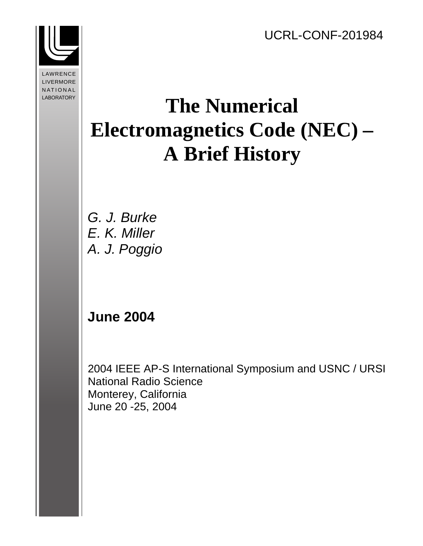

**LAWRENCE** NATIONAL LABORATORY LIVERMORE

# **The Numerical Electromagnetics Code (NEC) – A Brief History**

G. J. Burke E. K. Miller A. J. Poggio

# **June 2004**

2004 IEEE AP-S International Symposium and USNC / URSI National Radio Science Monterey, California June 20 -25, 2004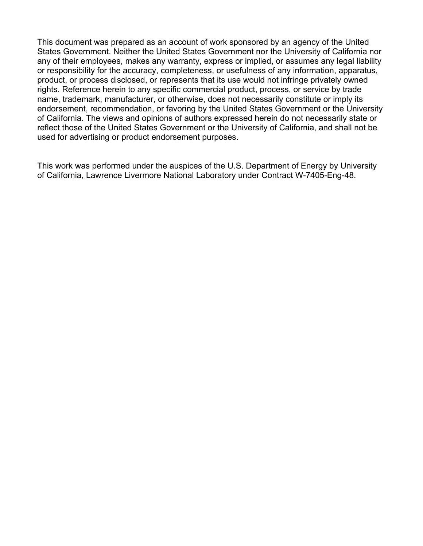This document was prepared as an account of work sponsored by an agency of the United States Government. Neither the United States Government nor the University of California nor any of their employees, makes any warranty, express or implied, or assumes any legal liability or responsibility for the accuracy, completeness, or usefulness of any information, apparatus, product, or process disclosed, or represents that its use would not infringe privately owned rights. Reference herein to any specific commercial product, process, or service by trade name, trademark, manufacturer, or otherwise, does not necessarily constitute or imply its endorsement, recommendation, or favoring by the United States Government or the University of California. The views and opinions of authors expressed herein do not necessarily state or reflect those of the United States Government or the University of California, and shall not be used for advertising or product endorsement purposes.

This work was performed under the auspices of the U.S. Department of Energy by University of California, Lawrence Livermore National Laboratory under Contract W-7405-Eng-48.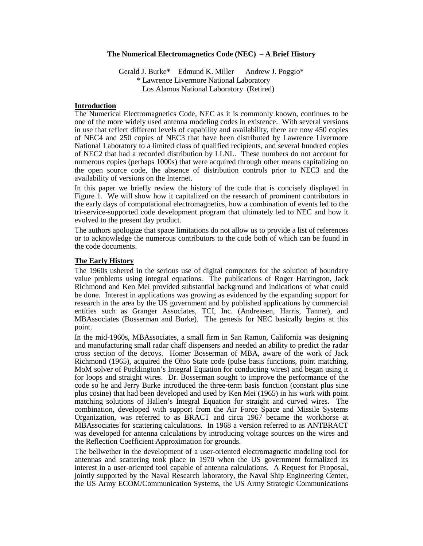#### **The Numerical Electromagnetics Code (NEC) – A Brief History**

Gerald J. Burke\* Edmund K. Miller Andrew J. Poggio\* \* Lawrence Livermore National Laboratory Los Alamos National Laboratory (Retired)

#### **Introduction**

The Numerical Electromagnetics Code, NEC as it is commonly known, continues to be one of the more widely used antenna modeling codes in existence. With several versions in use that reflect different levels of capability and availability, there are now 450 copies of NEC4 and 250 copies of NEC3 that have been distributed by Lawrence Livermore National Laboratory to a limited class of qualified recipients, and several hundred copies of NEC2 that had a recorded distribution by LLNL. These numbers do not account for numerous copies (perhaps 1000s) that were acquired through other means capitalizing on the open source code, the absence of distribution controls prior to NEC3 and the availability of versions on the Internet.

In this paper we briefly review the history of the code that is concisely displayed in Figure 1. We will show how it capitalized on the research of prominent contributors in the early days of computational electromagnetics, how a combination of events led to the tri-service-supported code development program that ultimately led to NEC and how it evolved to the present day product.

The authors apologize that space limitations do not allow us to provide a list of references or to acknowledge the numerous contributors to the code both of which can be found in the code documents.

#### **The Early History**

The 1960s ushered in the serious use of digital computers for the solution of boundary value problems using integral equations. The publications of Roger Harrington, Jack Richmond and Ken Mei provided substantial background and indications of what could be done. Interest in applications was growing as evidenced by the expanding support for research in the area by the US government and by published applications by commercial entities such as Granger Associates, TCI, Inc. (Andreasen, Harris, Tanner), and MBAssociates (Bosserman and Burke). The genesis for NEC basically begins at this point.

In the mid-1960s, MBAssociates, a small firm in San Ramon, California was designing and manufacturing small radar chaff dispensers and needed an ability to predict the radar cross section of the decoys. Homer Bosserman of MBA, aware of the work of Jack Richmond (1965), acquired the Ohio State code (pulse basis functions, point matching, MoM solver of Pocklington's Integral Equation for conducting wires) and began using it for loops and straight wires. Dr. Bosserman sought to improve the performance of the code so he and Jerry Burke introduced the three-term basis function (constant plus sine plus cosine) that had been developed and used by Ken Mei (1965) in his work with point matching solutions of Hallen's Integral Equation for straight and curved wires. The combination, developed with support from the Air Force Space and Missile Systems Organization, was referred to as BRACT and circa 1967 became the workhorse at MBAssociates for scattering calculations. In 1968 a version referred to as ANTBRACT was developed for antenna calculations by introducing voltage sources on the wires and the Reflection Coefficient Approximation for grounds.

The bellwether in the development of a user-oriented electromagnetic modeling tool for antennas and scattering took place in 1970 when the US government formalized its interest in a user-oriented tool capable of antenna calculations. A Request for Proposal, jointly supported by the Naval Research laboratory, the Naval Ship Engineering Center, the US Army ECOM/Communication Systems, the US Army Strategic Communications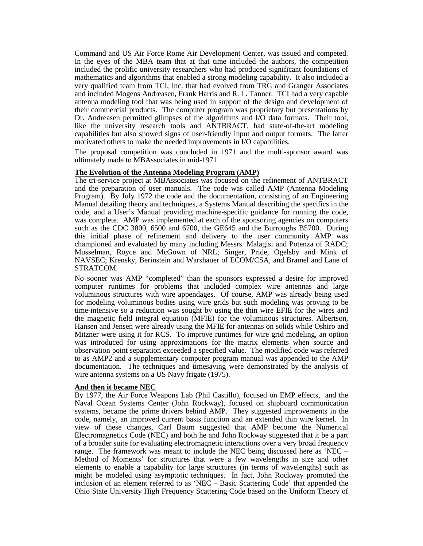Command and US Air Force Rome Air Development Center, was issued and competed. In the eyes of the MBA team that at that time included the authors, the competition included the prolific university researchers who had produced significant foundations of mathematics and algorithms that enabled a strong modeling capability. It also included a very qualified team from TCI, Inc. that had evolved from TRG and Granger Associates and included Mogens Andreasen, Frank Harris and R. L. Tanner. TCI had a very capable antenna modeling tool that was being used in support of the design and development of their commercial products. The computer program was proprietary but presentations by Dr. Andreasen permitted glimpses of the algorithms and I/O data formats. Their tool, like the university research tools and ANTBRACT, had state-of-the-art modeling capabilities but also showed signs of user-friendly input and output formats. The latter motivated others to make the needed improvements in I/O capabilities.

The proposal competition was concluded in 1971 and the multi-sponsor award was ultimately made to MBAssociates in mid-1971.

#### **The Evolution of the Antenna Modeling Program (AMP)**

The tri-service project at MBAssociates was focused on the refinement of ANTBRACT and the preparation of user manuals. The code was called AMP (Antenna Modeling Program). By July 1972 the code and the documentation, consisting of an Engineering Manual detailing theory and techniques, a Systems Manual describing the specifics in the code, and a User's Manual providing machine-specific guidance for running the code, was complete. AMP was implemented at each of the sponsoring agencies on computers such as the CDC 3800, 6500 and 6700, the GE645 and the Burroughs B5700. During this initial phase of refinement and delivery to the user community AMP was championed and evaluated by many including Messrs. Malagisi and Potenza of RADC; Musselman, Royce and McGown of NRL; Singer, Pride, Ogelsby and Mink of NAVSEC; Krensky, Berinstein and Warshauer of ECOM/CSA, and Bramel and Lane of STRATCOM.

No sooner was AMP "completed" than the sponsors expressed a desire for improved computer runtimes for problems that included complex wire antennas and large voluminous structures with wire appendages. Of course, AMP was already being used for modeling voluminous bodies using wire grids but such modeling was proving to be time-intensive so a reduction was sought by using the thin wire EFIE for the wires and the magnetic field integral equation (MFIE) for the voluminous structures. Albertson, Hansen and Jensen were already using the MFIE for antennas on solids while Oshiro and Mitzner were using it for RCS. To improve runtimes for wire grid modeling, an option was introduced for using approximations for the matrix elements when source and observation point separation exceeded a specified value. The modified code was referred to as AMP2 and a supplementary computer program manual was appended to the AMP documentation. The techniques and timesaving were demonstrated by the analysis of wire antenna systems on a US Navy frigate  $(1975)$ .

## **And then it became NEC**

By 1977, the Air Force Weapons Lab (Phil Castillo), focused on EMP effects, and the Naval Ocean Systems Center (John Rockway), focused on shipboard communication systems, became the prime drivers behind AMP. They suggested improvements in the code, namely, an improved current basis function and an extended thin wire kernel. In view of these changes, Carl Baum suggested that AMP become the Numerical Electromagnetics Code (NEC) and both he and John Rockway suggested that it be a part of a broader suite for evaluating electromagnetic interactions over a very broad frequency range. The framework was meant to include the NEC being discussed here as 'NEC – Method of Moments' for structures that were a few wavelengths in size and other elements to enable a capability for large structures (in terms of wavelengths) such as might be modeled using asymptotic techniques. In fact, John Rockway promoted the inclusion of an element referred to as 'NEC – Basic Scattering Code' that appended the Ohio State University High Frequency Scattering Code based on the Uniform Theory of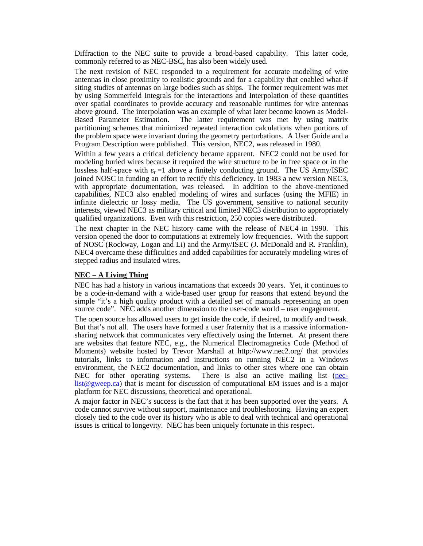Diffraction to the NEC suite to provide a broad-based capability. This latter code, commonly referred to as NEC-BSC, has also been widely used.

The next revision of NEC responded to a requirement for accurate modeling of wire antennas in close proximity to realistic grounds and for a capability that enabled what-if siting studies of antennas on large bodies such as ships. The former requirement was met by using Sommerfeld Integrals for the interactions and Interpolation of these quantities over spatial coordinates to provide accuracy and reasonable runtimes for wire antennas above ground. The interpolation was an example of what later become known as Model-Based Parameter Estimation. The latter requirement was met by using matrix partitioning schemes that minimized repeated interaction calculations when portions of the problem space were invariant during the geometry perturbations. A User Guide and a Program Description were published. This version, NEC2, was released in 1980.

Within a few years a critical deficiency became apparent. NEC2 could not be used for modeling buried wires because it required the wire structure to be in free space or in the lossless half-space with  $\varepsilon_r = 1$  above a finitely conducting ground. The US Army/ISEC joined NOSC in funding an effort to rectify this deficiency. In 1983 a new version NEC3, with appropriate documentation, was released. In addition to the above-mentioned capabilities, NEC3 also enabled modeling of wires and surfaces (using the MFIE) in infinite dielectric or lossy media. The US government, sensitive to national security interests, viewed NEC3 as military critical and limited NEC3 distribution to appropriately qualified organizations. Even with this restriction, 250 copies were distributed.

The next chapter in the NEC history came with the release of NEC4 in 1990. This version opened the door to computations at extremely low frequencies. With the support of NOSC (Rockway, Logan and Li) and the Army/ISEC (J. McDonald and R. Franklin), NEC4 overcame these difficulties and added capabilities for accurately modeling wires of stepped radius and insulated wires.

## **NEC – A Living Thing**

NEC has had a history in various incarnations that exceeds 30 years. Yet, it continues to be a code-in-demand with a wide-based user group for reasons that extend beyond the simple "it's a high quality product with a detailed set of manuals representing an open source code". NEC adds another dimension to the user-code world – user engagement.

The open source has allowed users to get inside the code, if desired, to modify and tweak. But that's not all. The users have formed a user fraternity that is a massive informationsharing network that communicates very effectively using the Internet. At present there are websites that feature NEC, e.g., the Numerical Electromagnetics Code (Method of Moments) website hosted by Trevor Marshall at http://www.nec2.org/ that provides tutorials, links to information and instructions on running NEC2 in a Windows environment, the NEC2 documentation, and links to other sites where one can obtain<br>NEC for other operating systems. There is also an active mailing list (nec-There is also an active mailing list (neclist@gweep.ca) that is meant for discussion of computational EM issues and is a major platform for NEC discussions, theoretical and operational.

A major factor in NEC's success is the fact that it has been supported over the years. A code cannot survive without support, maintenance and troubleshooting. Having an expert closely tied to the code over its history who is able to deal with technical and operational issues is critical to longevity. NEC has been uniquely fortunate in this respect.